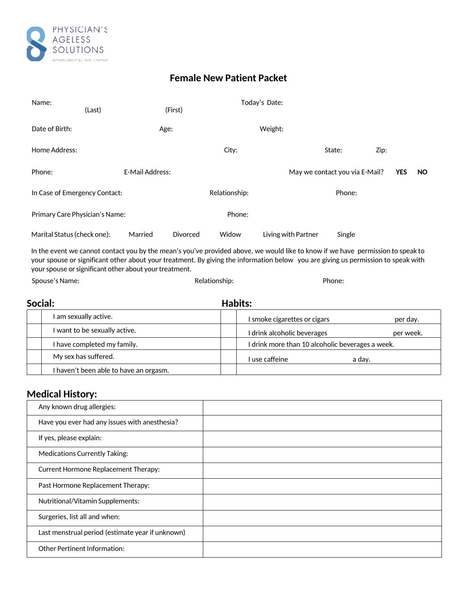

## **Female New Patient Packet**

| Name:                          | (Last) |                        | (First)       |        | Today's Date:       |                                |      |            |           |
|--------------------------------|--------|------------------------|---------------|--------|---------------------|--------------------------------|------|------------|-----------|
| Date of Birth:                 |        | Age:                   |               |        | Weight:             |                                |      |            |           |
| Home Address:                  |        |                        |               | City:  |                     | State:                         | Zip: |            |           |
| Phone:                         |        | <b>E-Mail Address:</b> |               |        |                     | May we contact you via E-Mail? |      | <b>YES</b> | <b>NO</b> |
| In Case of Emergency Contact:  |        |                        | Relationship: |        | Phone:              |                                |      |            |           |
| Primary Care Physician's Name: |        |                        |               | Phone: |                     |                                |      |            |           |
| Marital Status (check one):    |        | Married                | Divorced      | Widow  | Living with Partner | Single                         |      |            |           |

In the event we cannot contact you by the mean's you've provided above, we would like to know if we have permission to speak to your spouse or significant other about your treatment. By giving the information below you are giving us permission to speak with your spouse or significant other about your treatment.

Spouse's Name: Name: Phone: Phone: Phone: Phone: Phone: Phone: Phone: Phone: Phone: Phone: Phone: Phone: Phone: Phone: Phone: Phone: Phone: Phone: Phone: Phone: Phone: Phone: Phone: Phone: Phone: Phone: Phone: Phone: Phone

| Social: |                                        | Habits:                                          |           |  |  |  |  |
|---------|----------------------------------------|--------------------------------------------------|-----------|--|--|--|--|
|         | I am sexually active.                  | I smoke cigarettes or cigars                     | per day.  |  |  |  |  |
|         | I want to be sexually active.          | I drink alcoholic beverages                      | per week. |  |  |  |  |
|         | I have completed my family.            | I drink more than 10 alcoholic beverages a week. |           |  |  |  |  |
|         | My sex has suffered.                   | I use caffeine                                   | a day.    |  |  |  |  |
|         | I haven't been able to have an orgasm. |                                                  |           |  |  |  |  |

## **Medical History:**

| Any known drug allergies:                        |  |
|--------------------------------------------------|--|
| Have you ever had any issues with anesthesia?    |  |
| If yes, please explain:                          |  |
| <b>Medications Currently Taking:</b>             |  |
| <b>Current Hormone Replacement Therapy:</b>      |  |
| Past Hormone Replacement Therapy:                |  |
| Nutritional/Vitamin Supplements:                 |  |
| Surgeries, list all and when:                    |  |
| Last menstrual period (estimate year if unknown) |  |
| Other Pertinent Information:                     |  |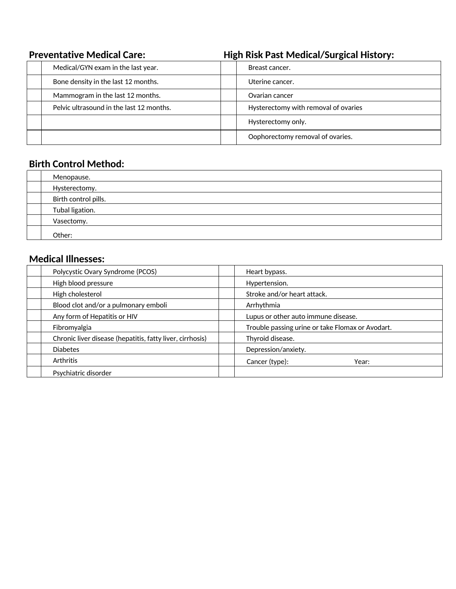| <b>Preventative Medical Care:</b>        | <b>High Risk Past Medical/Surgical History:</b> |  |  |
|------------------------------------------|-------------------------------------------------|--|--|
| Medical/GYN exam in the last year.       | Breast cancer.                                  |  |  |
| Bone density in the last 12 months.      | Uterine cancer.                                 |  |  |
| Mammogram in the last 12 months.         | Ovarian cancer                                  |  |  |
| Pelvic ultrasound in the last 12 months. | Hysterectomy with removal of ovaries            |  |  |
|                                          | Hysterectomy only.                              |  |  |
|                                          | Oophorectomy removal of ovaries.                |  |  |

## **Birth Control Method:**

| Menopause.           |
|----------------------|
| Hysterectomy.        |
| Birth control pills. |
| Tubal ligation.      |
| Vasectomy.           |
| Other:               |

## **Medical Illnesses:**

| Polycystic Ovary Syndrome (PCOS)                          |  | Heart bypass.                                    |  |  |
|-----------------------------------------------------------|--|--------------------------------------------------|--|--|
| High blood pressure                                       |  | Hypertension.                                    |  |  |
| High cholesterol                                          |  | Stroke and/or heart attack.                      |  |  |
| Blood clot and/or a pulmonary emboli                      |  | Arrhythmia                                       |  |  |
| Any form of Hepatitis or HIV                              |  | Lupus or other auto immune disease.              |  |  |
| Fibromyalgia                                              |  | Trouble passing urine or take Flomax or Avodart. |  |  |
| Chronic liver disease (hepatitis, fatty liver, cirrhosis) |  | Thyroid disease.                                 |  |  |
| <b>Diabetes</b>                                           |  | Depression/anxiety.                              |  |  |
| <b>Arthritis</b>                                          |  | Cancer (type):<br>Year:                          |  |  |
| Psychiatric disorder                                      |  |                                                  |  |  |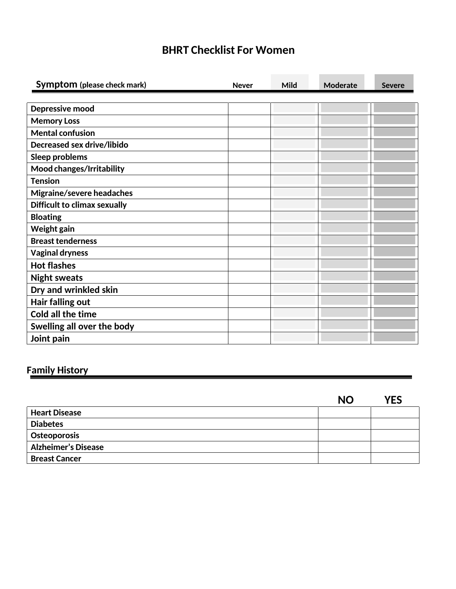# **BHRT Checklist For Women**

| Symptom (please check mark)         | <b>Never</b> | Mild | <b>Moderate</b> | <b>Severe</b> |
|-------------------------------------|--------------|------|-----------------|---------------|
|                                     |              |      |                 |               |
| Depressive mood                     |              |      |                 |               |
| <b>Memory Loss</b>                  |              |      |                 |               |
| <b>Mental confusion</b>             |              |      |                 |               |
| <b>Decreased sex drive/libido</b>   |              |      |                 |               |
| Sleep problems                      |              |      |                 |               |
| Mood changes/Irritability           |              |      |                 |               |
| <b>Tension</b>                      |              |      |                 |               |
| Migraine/severe headaches           |              |      |                 |               |
| <b>Difficult to climax sexually</b> |              |      |                 |               |
| <b>Bloating</b>                     |              |      |                 |               |
| Weight gain                         |              |      |                 |               |
| <b>Breast tenderness</b>            |              |      |                 |               |
| <b>Vaginal dryness</b>              |              |      |                 |               |
| <b>Hot flashes</b>                  |              |      |                 |               |
| <b>Night sweats</b>                 |              |      |                 |               |
| Dry and wrinkled skin               |              |      |                 |               |
| Hair falling out                    |              |      |                 |               |
| <b>Cold all the time</b>            |              |      |                 |               |
| Swelling all over the body          |              |      |                 |               |
| Joint pain                          |              |      |                 |               |

# **Family History**

|                            | <b>NO</b> | YES |
|----------------------------|-----------|-----|
| <b>Heart Disease</b>       |           |     |
| <b>Diabetes</b>            |           |     |
| Osteoporosis               |           |     |
| <b>Alzheimer's Disease</b> |           |     |
| <b>Breast Cancer</b>       |           |     |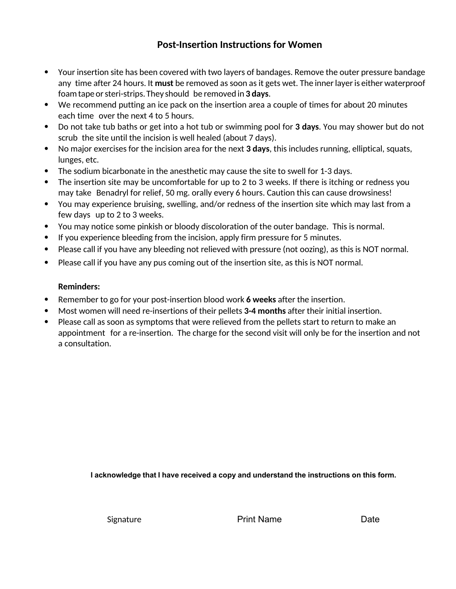## **Post-Insertion Instructions for Women**

- Your insertion site has been covered with two layers of bandages. Remove the outer pressure bandage any time after 24 hours. It **must** be removed as soon as it gets wet. The inner layer is either waterproof foam tape or steri-strips. They should be removed in **3 days**.
- We recommend putting an ice pack on the insertion area a couple of times for about 20 minutes each time over the next 4 to 5 hours.
- Do not take tub baths or get into a hot tub or swimming pool for **3 days**. You may shower but do not scrub the site until the incision is well healed (about 7 days).
- No major exercises for the incision area for the next **3 days**, this includes running, elliptical, squats, lunges, etc.
- The sodium bicarbonate in the anesthetic may cause the site to swell for 1-3 days.
- The insertion site may be uncomfortable for up to 2 to 3 weeks. If there is itching or redness you may take Benadryl for relief, 50 mg. orally every 6 hours. Caution this can cause drowsiness!
- You may experience bruising, swelling, and/or redness of the insertion site which may last from a few days up to 2 to 3 weeks.
- You may notice some pinkish or bloody discoloration of the outer bandage. This is normal.
- If you experience bleeding from the incision, apply firm pressure for 5 minutes.
- Please call if you have any bleeding not relieved with pressure (not oozing), as this is NOT normal.
- Please call if you have any pus coming out of the insertion site, as this is NOT normal.

### **Reminders:**

- Remember to go for your post-insertion blood work **6 weeks** after the insertion.
- Most women will need re-insertions of their pellets **3-4 months** after their initial insertion.
- Please call as soon as symptoms that were relieved from the pellets start to return to make an appointment for a re-insertion. The charge for the second visit will only be for the insertion and not a consultation.

**I acknowledge that I have received a copy and understand the instructions on this form.**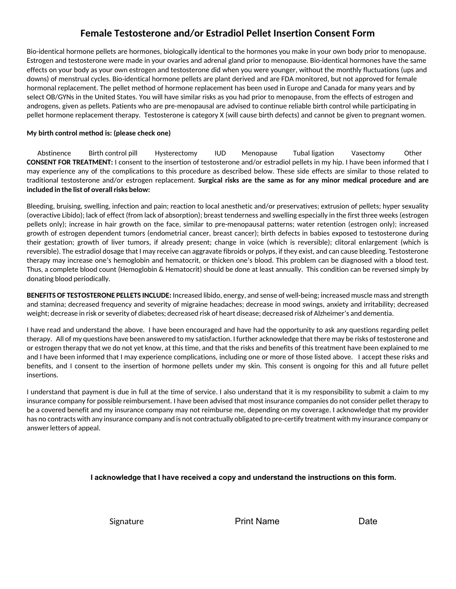## **Female Testosterone and/or Estradiol Pellet Insertion Consent Form**

Bio-identical hormone pellets are hormones, biologically identical to the hormones you make in your own body prior to menopause. Estrogen and testosterone were made in your ovaries and adrenal gland prior to menopause. Bio-identical hormones have the same effects on your body as your own estrogen and testosterone did when you were younger, without the monthly fluctuations (ups and downs) of menstrual cycles. Bio-identical hormone pellets are plant derived and are FDA monitored, but not approved for female hormonal replacement. The pellet method of hormone replacement has been used in Europe and Canada for many years and by select OB/GYNs in the United States. You will have similar risks as you had prior to menopause, from the effects of estrogen and androgens, given as pellets. Patients who are pre-menopausal are advised to continue reliable birth control while participating in pellet hormone replacement therapy. Testosterone is category X (will cause birth defects) and cannot be given to pregnant women.

#### **My birth control method is: (please check one)**

Abstinence Birth control pill Hysterectomy IUD Menopause Tubal ligation Vasectomy Other **CONSENT FOR TREATMENT:** I consent to the insertion of testosterone and/or estradiol pellets in my hip. I have been informed that I may experience any of the complications to this procedure as described below. These side effects are similar to those related to traditional testosterone and/or estrogen replacement. **Surgical risks are the same as for any minor medical procedure and are included in the list of overall risks below:**

Bleeding, bruising, swelling, infection and pain; reaction to local anesthetic and/or preservatives; extrusion of pellets; hyper sexuality (overactive Libido); lack of effect (from lack of absorption); breast tenderness and swelling especially in the first three weeks (estrogen pellets only); increase in hair growth on the face, similar to pre-menopausal patterns; water retention (estrogen only); increased growth of estrogen dependent tumors (endometrial cancer, breast cancer); birth defects in babies exposed to testosterone during their gestation; growth of liver tumors, if already present; change in voice (which is reversible); clitoral enlargement (which is reversible). The estradiol dosage that I may receive can aggravate fibroids or polyps, if they exist, and can cause bleeding. Testosterone therapy may increase one's hemoglobin and hematocrit, or thicken one's blood. This problem can be diagnosed with a blood test. Thus, a complete blood count (Hemoglobin & Hematocrit) should be done at least annually. This condition can be reversed simply by donating blood periodically.

**BENEFITS OF TESTOSTERONE PELLETS INCLUDE:** Increased libido, energy, and sense of well-being; increased muscle mass and strength and stamina; decreased frequency and severity of migraine headaches; decrease in mood swings, anxiety and irritability; decreased weight; decrease in risk or severity of diabetes; decreased risk of heart disease; decreased risk of Alzheimer's and dementia.

I have read and understand the above. I have been encouraged and have had the opportunity to ask any questions regarding pellet therapy. All of my questions have been answered to my satisfaction. I further acknowledge that there may be risks of testosterone and or estrogen therapy that we do not yet know, at this time, and that the risks and benefits of this treatment have been explained to me and I have been informed that I may experience complications, including one or more of those listed above. I accept these risks and benefits, and I consent to the insertion of hormone pellets under my skin. This consent is ongoing for this and all future pellet insertions.

I understand that payment is due in full at the time of service. I also understand that it is my responsibility to submit a claim to my insurance company for possible reimbursement. I have been advised that most insurance companies do not consider pellet therapy to be a covered benefit and my insurance company may not reimburse me, depending on my coverage. I acknowledge that my provider has no contracts with any insurance company and is not contractually obligated to pre-certify treatment with my insurance company or answer letters of appeal.

### **I acknowledge that I have received a copy and understand the instructions on this form.**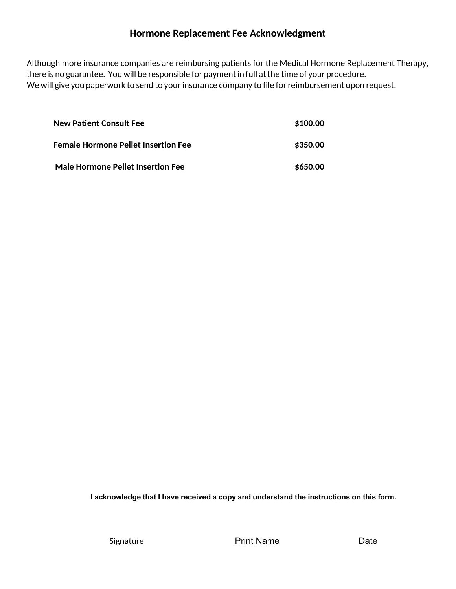### **Hormone Replacement Fee Acknowledgment**

Although more insurance companies are reimbursing patients for the Medical Hormone Replacement Therapy, there is no guarantee. You will be responsible for payment in full at the time of your procedure. We will give you paperwork to send to your insurance company to file for reimbursement upon request.

| <b>New Patient Consult Fee</b>           | \$100.00 |
|------------------------------------------|----------|
| Female Hormone Pellet Insertion Fee      | \$350.00 |
| <b>Male Hormone Pellet Insertion Fee</b> | \$650.00 |

**I acknowledge that I have received a copy and understand the instructions on this form.**